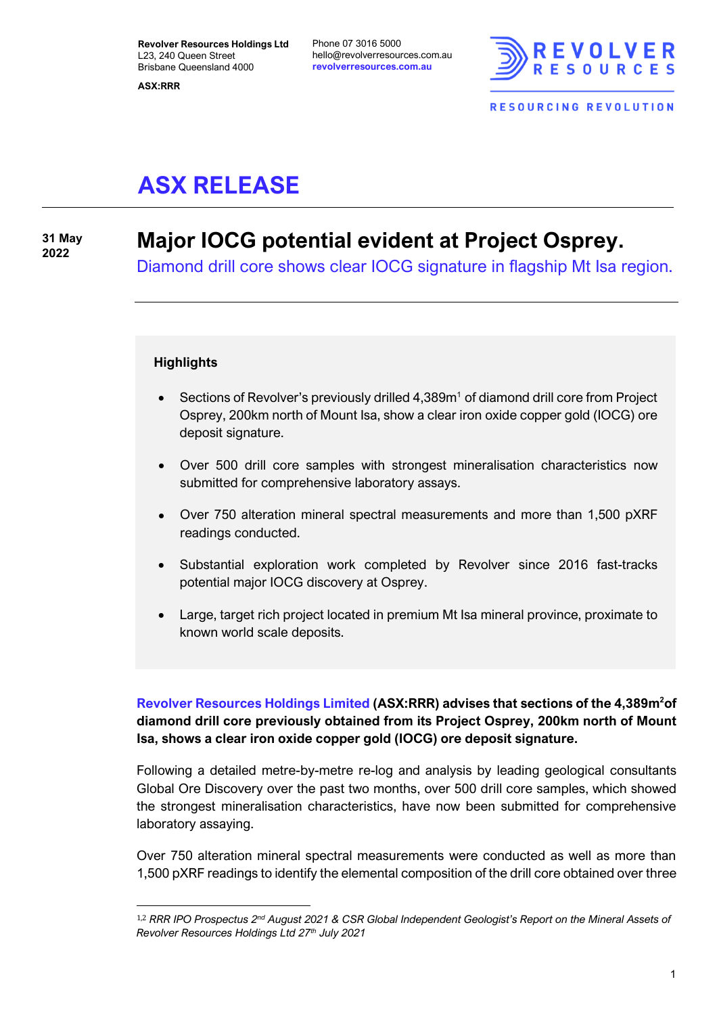**ASX:RRR**

Phone 07 3016 5000 hello@revolverresources.com.au **revolverresources.com.au**



# **ASX RELEASE**

**31 May**

# **<sup>2022</sup> Major IOCG potential evident at Project Osprey.**

Diamond drill core shows clear IOCG signature in flagship Mt Isa region.

#### **Highlights**

- Sections of Revolver's previously drilled  $4,389m<sup>1</sup>$  of diamond drill core from Project Osprey, 200km north of Mount Isa, show a clear iron oxide copper gold (IOCG) ore deposit signature.
- Over 500 drill core samples with strongest mineralisation characteristics now submitted for comprehensive laboratory assays.
- Over 750 alteration mineral spectral measurements and more than 1,500 pXRF readings conducted.
- Substantial exploration work completed by Revolver since 2016 fast-tracks potential major IOCG discovery at Osprey.
- Large, target rich project located in premium Mt Isa mineral province, proximate to known world scale deposits.

**Revolver Resources Holdings Limited (ASX:RRR) advises that sections of the 4,389m<sup>2</sup>of diamond drill core previously obtained from its Project Osprey, 200km north of Mount Isa, shows a clear iron oxide copper gold (IOCG) ore deposit signature.**

Following a detailed metre-by-metre re-log and analysis by leading geological consultants Global Ore Discovery over the past two months, over 500 drill core samples, which showed the strongest mineralisation characteristics, have now been submitted for comprehensive laboratory assaying. *Revolver 750* alteration mineral spectral m<br> *Revolver 750* alteration mineral spectral m<br> *Revolver Resources Holdings Ltd 27<sup><i>th*</sup> July 2021</sup><br> *Revolver Resources Holdings Ltd 27<sup><i>th*</sup> July 2021</sup>

Over 750 alteration mineral spectral measurements were conducted as well as more than 1,500 pXRF readings to identify the elemental composition of the drill core obtained over three

<sup>1,2</sup> *RRR IPO Prospectus 2nd August 2021 & CSR Global Independent Geologist's Report on the Mineral Assets of*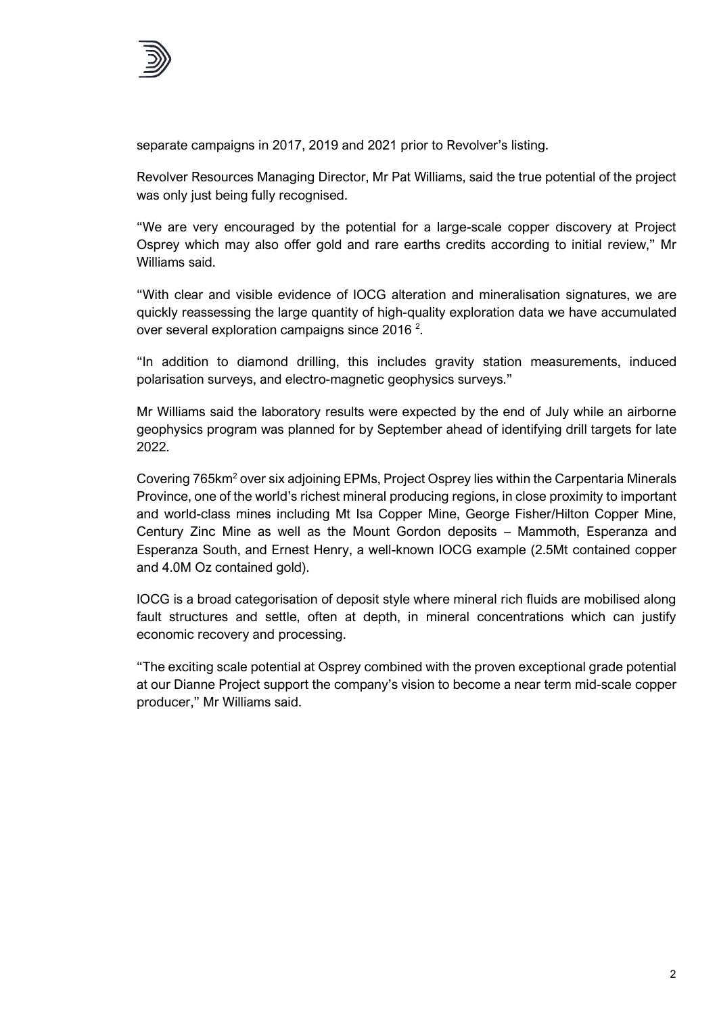

separate campaigns in 2017, 2019 and 2021 prior to Revolver's listing.

Revolver Resources Managing Director, Mr Pat Williams, said the true potential of the project was only just being fully recognised.

"We are very encouraged by the potential for a large-scale copper discovery at Project Osprey which may also offer gold and rare earths credits according to initial review," Mr Williams said.

"With clear and visible evidence of IOCG alteration and mineralisation signatures, we are quickly reassessing the large quantity of high-quality exploration data we have accumulated over several exploration campaigns since 2016  $^{\text{2}}$ .

"In addition to diamond drilling, this includes gravity station measurements, induced polarisation surveys, and electro-magnetic geophysics surveys."

Mr Williams said the laboratory results were expected by the end of July while an airborne geophysics program was planned for by September ahead of identifying drill targets for late 2022.

Covering 765km<sup>2</sup> over six adjoining EPMs, Project Osprey lies within the Carpentaria Minerals Province, one of the world's richest mineral producing regions, in close proximity to important and world-class mines including Mt Isa Copper Mine, George Fisher/Hilton Copper Mine, Century Zinc Mine as well as the Mount Gordon deposits – Mammoth, Esperanza and Esperanza South, and Ernest Henry, a well-known IOCG example (2.5Mt contained copper and 4.0M Oz contained gold).

IOCG is a broad categorisation of deposit style where mineral rich fluids are mobilised along fault structures and settle, often at depth, in mineral concentrations which can justify economic recovery and processing.

"The exciting scale potential at Osprey combined with the proven exceptional grade potential at our Dianne Project support the company's vision to become a near term mid-scale copper producer," Mr Williams said.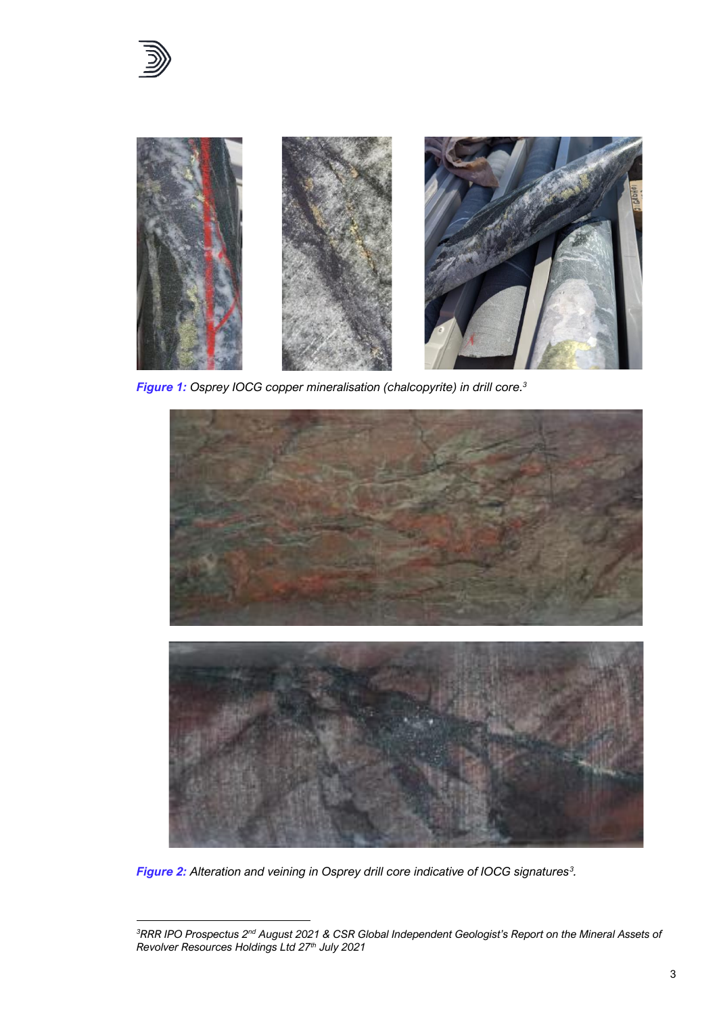

*Figure 1: Osprey IOCG copper mineralisation (chalcopyrite) in drill core. 3*



*Figure 2: Alteration and veining in Osprey drill core indicative of IOCG signatures<sup>3</sup> .*

*<sup>3</sup>RRR IPO Prospectus 2nd August 2021 & CSR Global Independent Geologist's Report on the Mineral Assets of*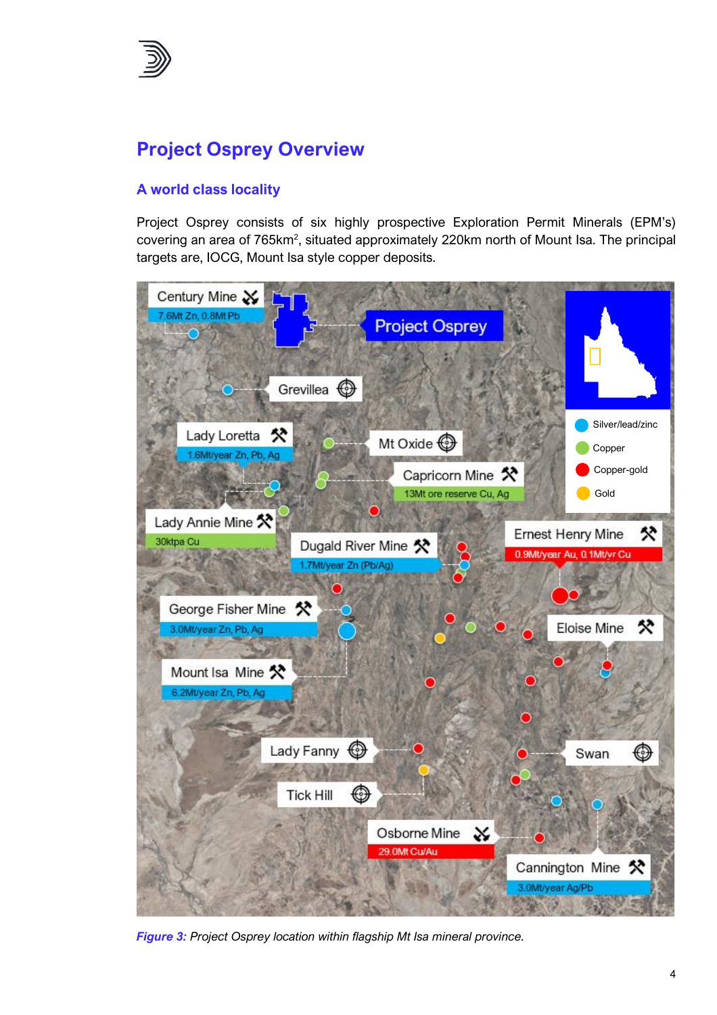

# **Project Osprey Overview**

# **A world class locality**

Project Osprey consists of six highly prospective Exploration Permit Minerals (EPM's) covering an area of 765km<sup>2</sup>, situated approximately 220km north of Mount Isa. The principal targets are, IOCG, Mount Isa style copper deposits.



*Figure 3: Project Osprey location within flagship Mt Isa mineral province.*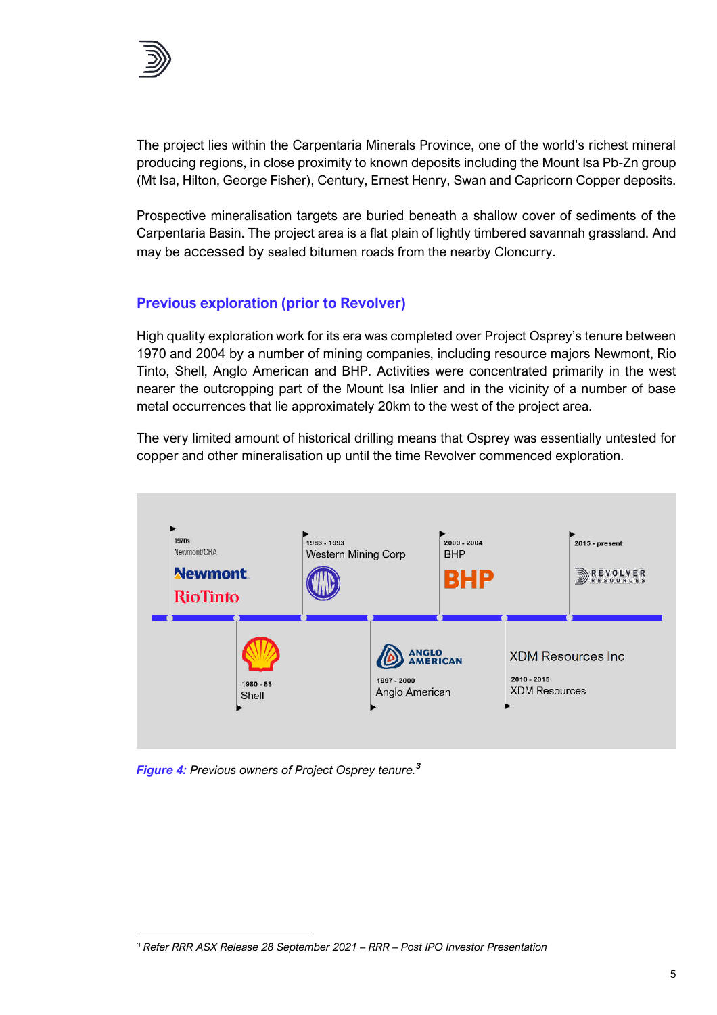

The project lies within the Carpentaria Minerals Province, one of the world's richest mineral producing regions, in close proximity to known deposits including the Mount Isa Pb-Zn group (Mt Isa, Hilton, George Fisher), Century, Ernest Henry, Swan and Capricorn Copper deposits.

Prospective mineralisation targets are buried beneath a shallow cover of sediments of the Carpentaria Basin. The project area is a flat plain of lightly timbered savannah grassland. And may be accessed by sealed bitumen roads from the nearby Cloncurry.

### **Previous exploration (prior to Revolver)**

High quality exploration work for its era was completed over Project Osprey's tenure between 1970 and 2004 by a number of mining companies, including resource majors Newmont, Rio Tinto, Shell, Anglo American and BHP. Activities were concentrated primarily in the west nearer the outcropping part of the Mount Isa Inlier and in the vicinity of a number of base metal occurrences that lie approximately 20km to the west of the project area.

The very limited amount of historical drilling means that Osprey was essentially untested for copper and other mineralisation up until the time Revolver commenced exploration.



*Figure 4: Previous owners of Project Osprey tenure.<sup>3</sup>*

*<sup>3</sup> Refer RRR ASX Release 28 September 2021 – RRR – Post IPO Investor Presentation*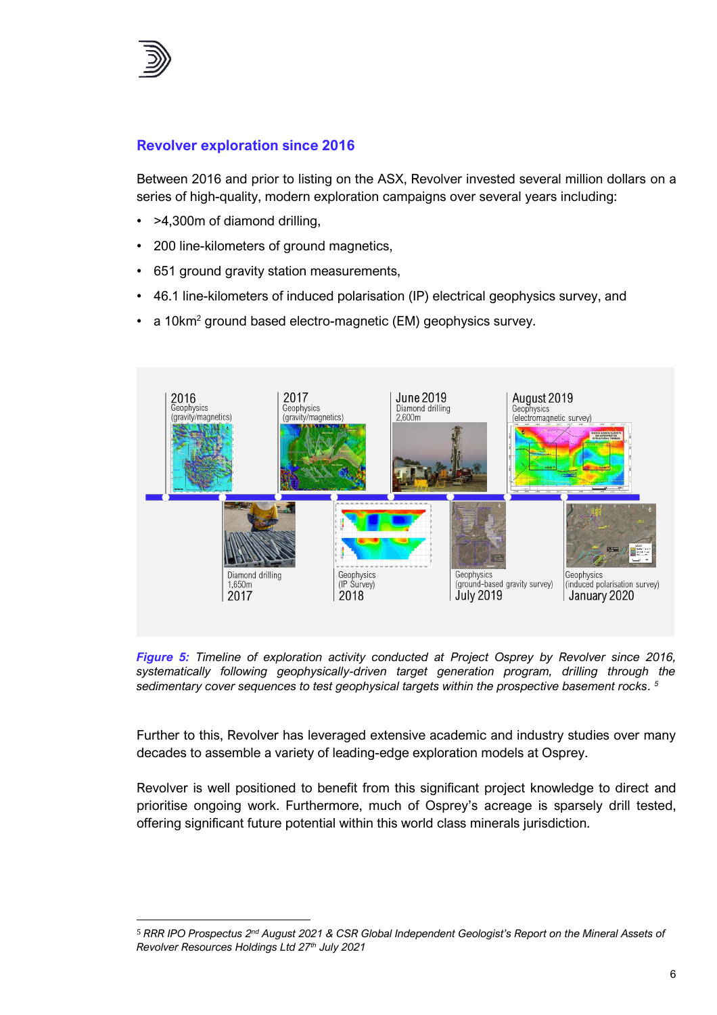

## **Revolver exploration since 2016**

Between 2016 and prior to listing on the ASX, Revolver invested several million dollars on a series of high-quality, modern exploration campaigns over several years including:

- >4,300m of diamond drilling,
- 200 line-kilometers of ground magnetics,
- 651 ground gravity station measurements,
- 46.1 line-kilometers of induced polarisation (IP) electrical geophysics survey, and
- a 10km<sup>2</sup> ground based electro-magnetic (EM) geophysics survey.



*Figure 5: Timeline of exploration activity conducted at Project Osprey by Revolver since 2016, systematically following geophysically-driven target generation program, drilling through the sedimentary cover sequences to test geophysical targets within the prospective basement rocks. 5*

Further to this, Revolver has leveraged extensive academic and industry studies over many decades to assemble a variety of leading-edge exploration models at Osprey.

Revolver is well positioned to benefit from this significant project knowledge to direct and prioritise ongoing work. Furthermore, much of Osprey's acreage is sparsely drill tested, offering significant future potential within this world class minerals jurisdiction. prioritise ongoing work. Furthermore,<br>
offering significant future potential withi<br>
FRAR IPO Prospectus 2<sup>nd</sup> August 2021 & CSR C<br>
Revolver Resources Holdings Ltd 27<sup>th</sup> July 2021

<sup>5</sup> *RRR IPO Prospectus 2nd August 2021 & CSR Global Independent Geologist's Report on the Mineral Assets of*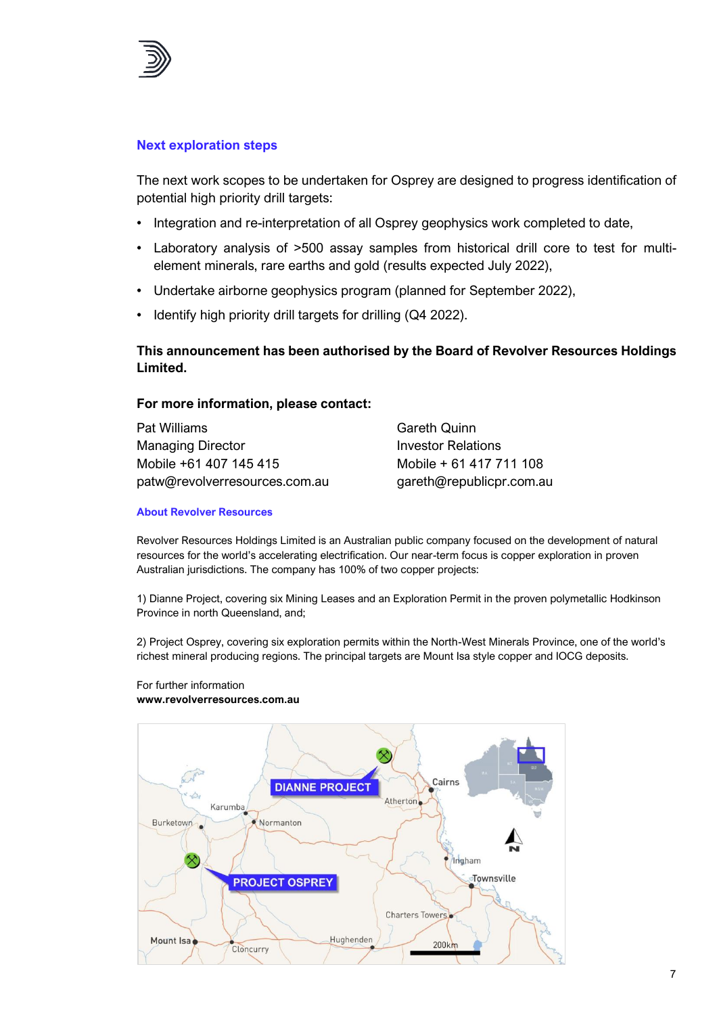

#### **Next exploration steps**

The next work scopes to be undertaken for Osprey are designed to progress identification of potential high priority drill targets:

- Integration and re-interpretation of all Osprey geophysics work completed to date,
- Laboratory analysis of >500 assay samples from historical drill core to test for multielement minerals, rare earths and gold (results expected July 2022),
- Undertake airborne geophysics program (planned for September 2022),
- Identify high priority drill targets for drilling (Q4 2022).

### **This announcement has been authorised by the Board of Revolver Resources Holdings Limited.**

#### **For more information, please contact:**

| Pat Williams                  | <b>Gareth Quinn</b>      |
|-------------------------------|--------------------------|
| <b>Managing Director</b>      | Investor Relations       |
| Mobile +61 407 145 415        | Mobile + 61 417 711 108  |
| patw@revolverresources.com.au | gareth@republicpr.com.au |

#### **About Revolver Resources**

Revolver Resources Holdings Limited is an Australian public company focused on the development of natural resources for the world's accelerating electrification. Our near-term focus is copper exploration in proven Australian jurisdictions. The company has 100% of two copper projects:

1) Dianne Project, covering six Mining Leases and an Exploration Permit in the proven polymetallic Hodkinson Province in north Queensland, and;

2) Project Osprey, covering six exploration permits within the North-West Minerals Province, one of the world's richest mineral producing regions. The principal targets are Mount Isa style copper and IOCG deposits.

#### For further information **www.revolverresources.com.au**